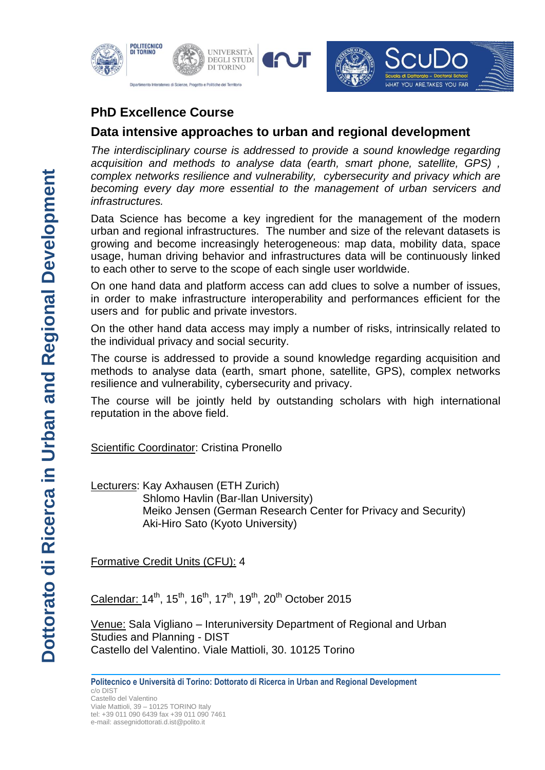

# **PhD Excellence Course**

## **Data intensive approaches to urban and regional development**

*The interdisciplinary course is addressed to provide a sound knowledge regarding acquisition and methods to analyse data (earth, smart phone, satellite, GPS) , complex networks resilience and vulnerability, cybersecurity and privacy which are becoming every day more essential to the management of urban servicers and infrastructures.*

Data Science has become a key ingredient for the management of the modern urban and regional infrastructures. The number and size of the relevant datasets is growing and become increasingly heterogeneous: map data, mobility data, space usage, human driving behavior and infrastructures data will be continuously linked to each other to serve to the scope of each single user worldwide.

On one hand data and platform access can add clues to solve a number of issues, in order to make infrastructure interoperability and performances efficient for the users and for public and private investors.

On the other hand data access may imply a number of risks, intrinsically related to the individual privacy and social security.

The course is addressed to provide a sound knowledge regarding acquisition and methods to analyse data (earth, smart phone, satellite, GPS), complex networks resilience and vulnerability, cybersecurity and privacy.

The course will be jointly held by outstanding scholars with high international reputation in the above field.

Scientific Coordinator: Cristina Pronello

Lecturers: Kay Axhausen (ETH Zurich) Shlomo Havlin (Bar-llan University) Meiko Jensen (German Research Center for Privacy and Security) Aki-Hiro Sato (Kyoto University)

Formative Credit Units (CFU): 4

Calendar: 14<sup>th</sup>, 15<sup>th</sup>, 16<sup>th</sup>, 17<sup>th</sup>, 19<sup>th</sup>, 20<sup>th</sup> October 2015

Venue: Sala Vigliano – Interuniversity Department of Regional and Urban Studies and Planning - DIST Castello del Valentino. Viale Mattioli, 30. 10125 Torino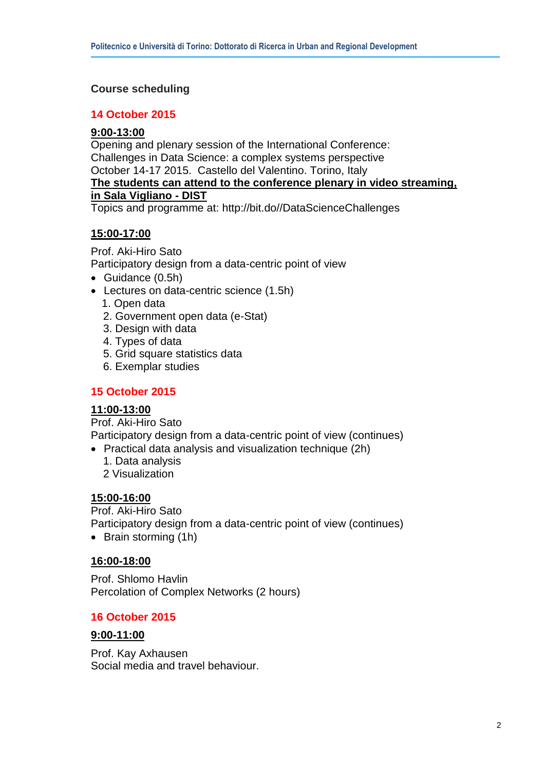## **Course scheduling**

#### **14 October 2015**

### **9:00-13:00**

Opening and plenary session of the International Conference: Challenges in Data Science: a complex systems perspective October 14-17 2015. Castello del Valentino. Torino, Italy

#### **The students can attend to the conference plenary in video streaming, in Sala Vigliano - DIST**

Topics and programme at: http://bit.do//DataScienceChallenges

## **15:00-17:00**

Prof. Aki-Hiro Sato Participatory design from a data-centric point of view

- Guidance (0.5h)
- Lectures on data-centric science (1.5h)
	- 1. Open data
	- 2. Government open data (e-Stat)
	- 3. Design with data
	- 4. Types of data
	- 5. Grid square statistics data
	- 6. Exemplar studies

### **15 October 2015**

#### **11:00-13:00**

Prof. Aki-Hiro Sato Participatory design from a data-centric point of view (continues)

- Practical data analysis and visualization technique (2h)
	- 1. Data analysis
	- 2 Visualization

### **15:00-16:00**

Prof. Aki-Hiro Sato Participatory design from a data-centric point of view (continues) • Brain storming (1h)

### **16:00-18:00**

Prof. Shlomo Havlin Percolation of Complex Networks (2 hours)

### **16 October 2015**

#### **9:00-11:00**

Prof. Kay Axhausen Social media and travel behaviour.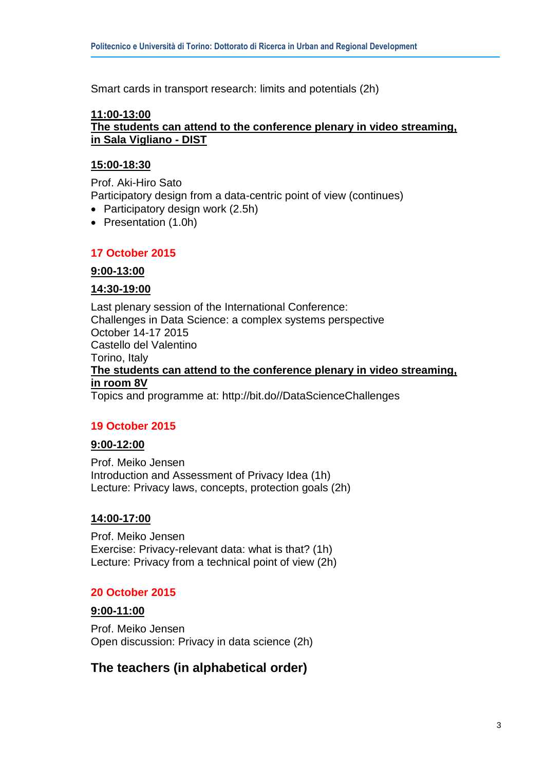Smart cards in transport research: limits and potentials (2h)

### **11:00-13:00**

### **The students can attend to the conference plenary in video streaming, in Sala Vigliano - DIST**

#### **15:00-18:30**

Prof. Aki-Hiro Sato Participatory design from a data-centric point of view (continues)

- Participatory design work (2.5h)
- Presentation (1.0h)

### **17 October 2015**

#### **9:00-13:00**

#### **14:30-19:00**

Last plenary session of the International Conference: Challenges in Data Science: a complex systems perspective October 14-17 2015 Castello del Valentino Torino, Italy **The students can attend to the conference plenary in video streaming, in room 8V** Topics and programme at: http://bit.do//DataScienceChallenges

### **19 October 2015**

### **9:00-12:00**

Prof. Meiko Jensen Introduction and Assessment of Privacy Idea (1h) Lecture: Privacy laws, concepts, protection goals (2h)

### **14:00-17:00**

Prof. Meiko Jensen Exercise: Privacy-relevant data: what is that? (1h) Lecture: Privacy from a technical point of view (2h)

#### **20 October 2015**

#### **9:00-11:00**

Prof. Meiko Jensen Open discussion: Privacy in data science (2h)

## **The teachers (in alphabetical order)**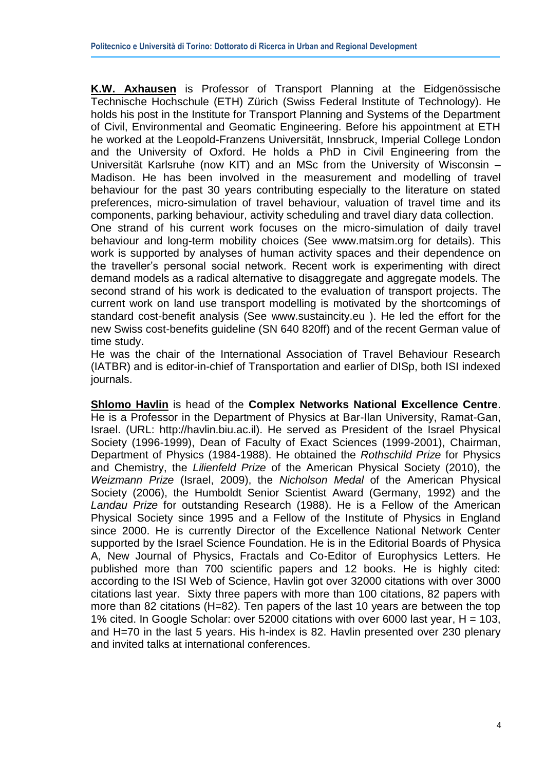**K.W. Axhausen** is Professor of Transport Planning at the Eidgenössische Technische Hochschule (ETH) Zürich (Swiss Federal Institute of Technology). He holds his post in the Institute for Transport Planning and Systems of the Department of Civil, Environmental and Geomatic Engineering. Before his appointment at ETH he worked at the Leopold-Franzens Universität, Innsbruck, Imperial College London and the University of Oxford. He holds a PhD in Civil Engineering from the Universität Karlsruhe (now KIT) and an MSc from the University of Wisconsin – Madison. He has been involved in the measurement and modelling of travel behaviour for the past 30 years contributing especially to the literature on stated preferences, micro-simulation of travel behaviour, valuation of travel time and its components, parking behaviour, activity scheduling and travel diary data collection.

One strand of his current work focuses on the micro-simulation of daily travel behaviour and long-term mobility choices (See [www.matsim.org](http://www.matsim.org/) for details). This work is supported by analyses of human activity spaces and their dependence on the traveller's personal social network. Recent work is experimenting with direct demand models as a radical alternative to disaggregate and aggregate models. The second strand of his work is dedicated to the evaluation of transport projects. The current work on land use transport modelling is motivated by the shortcomings of standard cost-benefit analysis (See [www.sustaincity.eu](http://www.sustaincity.eu/) ). He led the effort for the new Swiss cost-benefits guideline (SN 640 820ff) and of the recent German value of time study.

He was the chair of the International Association of Travel Behaviour Research (IATBR) and is editor-in-chief of Transportation and earlier of DISp, both ISI indexed journals.

**Shlomo Havlin** is head of the **Complex Networks National Excellence Centre**. He is a Professor in the Department of Physics at Bar-Ilan University, Ramat-Gan, Israel. (URL: http://havlin.biu.ac.il). He served as President of the Israel Physical Society (1996-1999), Dean of Faculty of Exact Sciences (1999-2001), Chairman, Department of Physics (1984-1988). He obtained the *Rothschild Prize* for Physics and Chemistry, the *Lilienfeld Prize* of the American Physical Society (2010), the *Weizmann Prize* (Israel, 2009), the *Nicholson Medal* of the American Physical Society (2006), the Humboldt Senior Scientist Award (Germany, 1992) and the *Landau Prize* for outstanding Research (1988). He is a Fellow of the American Physical Society since 1995 and a Fellow of the Institute of Physics in England since 2000. He is currently Director of the Excellence National Network Center supported by the Israel Science Foundation. He is in the Editorial Boards of Physica A, New Journal of Physics, Fractals and Co-Editor of Europhysics Letters. He published more than 700 scientific papers and 12 books. He is highly cited: according to the ISI Web of Science, Havlin got over 32000 citations with over 3000 citations last year. Sixty three papers with more than 100 citations, 82 papers with more than 82 citations (H=82). Ten papers of the last 10 years are between the top 1% cited. In Google Scholar: over 52000 citations with over 6000 last year, H = 103, and H=70 in the last 5 years. His h-index is 82. Havlin presented over 230 plenary and invited talks at international conferences.